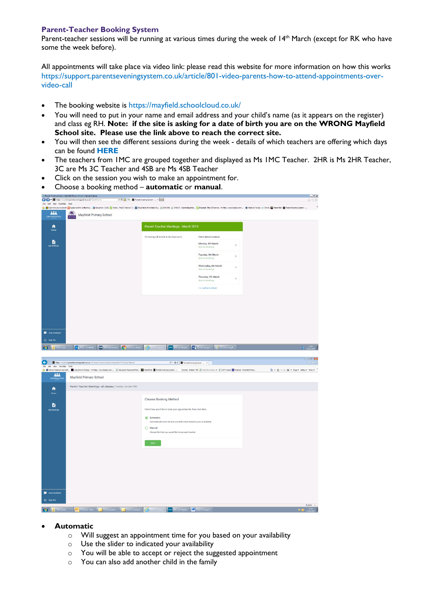## **Parent-Teacher Booking System**

Parent-teacher sessions will be running at various times during the week of 14th March (except for RK who have some the week before).

All appointments will take place via video link: please read this website for more information on how this works [https://support.parentseveningsystem.co.uk/article/801-video-parents-how-to-attend-appointments-over](https://support.parentseveningsystem.co.uk/article/801-video-parents-how-to-attend-appointments-over-video-call)[video-call](https://support.parentseveningsystem.co.uk/article/801-video-parents-how-to-attend-appointments-over-video-call)

- The booking website is <https://mayfield.schoolcloud.co.uk/>
- You will need to put in your name and email address and your child's name (as it appears on the register) and class eg RH. **Note: if the site is asking for a date of birth you are on the WRONG Mayfield School site. Please use the link above to reach the correct site.**
- You will then see the different sessions during the week details of which teachers are offering which days can be found **[HERE](https://mayfieldcambridge.org/?tribe_events=parent-teacher-meetings)**
- The teachers from 1MC are grouped together and displayed as Ms 1MC Teacher. 2HR is Ms 2HR Teacher, 3C are Ms 3C Teacher and 4SB are Ms 4SB Teacher
- Click on the session you wish to make an appointment for.
- Choose a booking method **automatic** or **manual**.



- **Automatic**
	- o Will suggest an appointment time for you based on your availability
	- o Use the slider to indicated your availability
	- o You will be able to accept or reject the suggested appointment
	- o You can also add another child in the family